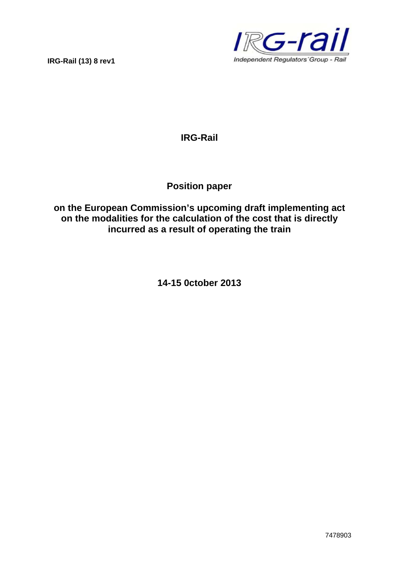**IRG-Rail (13) 8 rev1**



# **IRG-Rail**

# **Position paper**

# **on the European Commission's upcoming draft implementing act on the modalities for the calculation of the cost that is directly incurred as a result of operating the train**

**14-15 0ctober 2013**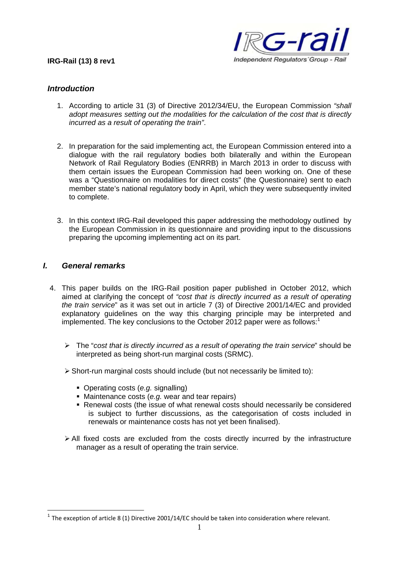### **IRG-Rail (13) 8 rev1**



#### *Introduction*

- 1. According to article 31 (3) of Directive 2012/34/EU, the European Commission *"shall adopt measures setting out the modalities for the calculation of the cost that is directly incurred as a result of operating the train"*.
- 2. In preparation for the said implementing act, the European Commission entered into a dialogue with the rail regulatory bodies both bilaterally and within the European Network of Rail Regulatory Bodies (ENRRB) in March 2013 in order to discuss with them certain issues the European Commission had been working on. One of these was a "Questionnaire on modalities for direct costs" (the Questionnaire) sent to each member state's national regulatory body in April, which they were subsequently invited to complete.
- 3. In this context IRG-Rail developed this paper addressing the methodology outlined by the European Commission in its questionnaire and providing input to the discussions preparing the upcoming implementing act on its part.

### *I. General remarks*

<u>.</u>

- 4. This paper builds on the IRG-Rail position paper published in October 2012, which aimed at clarifying the concept of *"cost that is directly incurred as a result of operating the train service*" as it was set out in article 7 (3) of Directive 2001/14/EC and provided explanatory guidelines on the way this charging principle may be interpreted and implemented. The key conclusions to the October 2012 paper were as follows:<sup>1</sup>
	- The "*cost that is directly incurred as a result of operating the train service*" should be interpreted as being short-run marginal costs (SRMC).
	- Short-run marginal costs should include (but not necessarily be limited to):
		- Operating costs (*e.g.* signalling)
		- Maintenance costs (*e.g.* wear and tear repairs)
		- Renewal costs (the issue of what renewal costs should necessarily be considered is subject to further discussions, as the categorisation of costs included in renewals or maintenance costs has not yet been finalised).
	- $\triangleright$  All fixed costs are excluded from the costs directly incurred by the infrastructure manager as a result of operating the train service.

<sup>&</sup>lt;sup>1</sup> The exception of article 8 (1) Directive 2001/14/EC should be taken into consideration where relevant.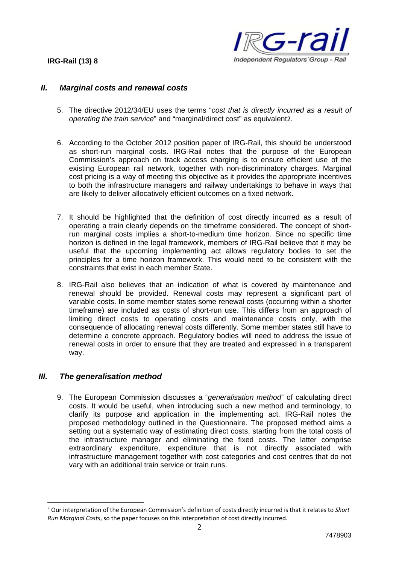

# *II. Marginal costs and renewal costs*

- 5. The directive 2012/34/EU uses the terms "*cost that is directly incurred as a result of operating the train service*" and "marginal/direct cost" as equivalent2.
- 6. According to the October 2012 position paper of IRG-Rail, this should be understood as short-run marginal costs. IRG-Rail notes that the purpose of the European Commission's approach on track access charging is to ensure efficient use of the existing European rail network, together with non-discriminatory charges. Marginal cost pricing is a way of meeting this objective as it provides the appropriate incentives to both the infrastructure managers and railway undertakings to behave in ways that are likely to deliver allocatively efficient outcomes on a fixed network.
- 7. It should be highlighted that the definition of cost directly incurred as a result of operating a train clearly depends on the timeframe considered. The concept of shortrun marginal costs implies a short-to-medium time horizon. Since no specific time horizon is defined in the legal framework, members of IRG-Rail believe that it may be useful that the upcoming implementing act allows regulatory bodies to set the principles for a time horizon framework. This would need to be consistent with the constraints that exist in each member State.
- 8. IRG-Rail also believes that an indication of what is covered by maintenance and renewal should be provided. Renewal costs may represent a significant part of variable costs. In some member states some renewal costs (occurring within a shorter timeframe) are included as costs of short-run use. This differs from an approach of limiting direct costs to operating costs and maintenance costs only, with the consequence of allocating renewal costs differently. Some member states still have to determine a concrete approach. Regulatory bodies will need to address the issue of renewal costs in order to ensure that they are treated and expressed in a transparent way.

# *III. The generalisation method*

1

9. The European Commission discusses a "*generalisation method*" of calculating direct costs. It would be useful, when introducing such a new method and terminology, to clarify its purpose and application in the implementing act. IRG-Rail notes the proposed methodology outlined in the Questionnaire. The proposed method aims a setting out a systematic way of estimating direct costs, starting from the total costs of the infrastructure manager and eliminating the fixed costs. The latter comprise extraordinary expenditure, expenditure that is not directly associated with infrastructure management together with cost categories and cost centres that do not vary with an additional train service or train runs.

<sup>2</sup> Our interpretation of the European Commission's definition of costs directly incurred is that it relates to *Short Run Marginal Costs*, so the paper focuses on this interpretation of cost directly incurred.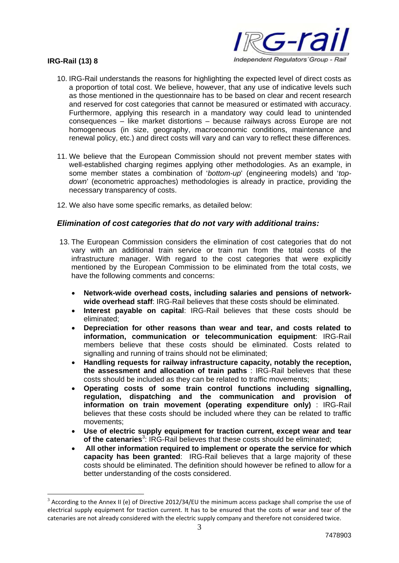

1

- 10. IRG-Rail understands the reasons for highlighting the expected level of direct costs as a proportion of total cost. We believe, however, that any use of indicative levels such as those mentioned in the questionnaire has to be based on clear and recent research and reserved for cost categories that cannot be measured or estimated with accuracy. Furthermore, applying this research in a mandatory way could lead to unintended consequences – like market distortions – because railways across Europe are not homogeneous (in size, geography, macroeconomic conditions, maintenance and renewal policy, etc.) and direct costs will vary and can vary to reflect these differences.
- 11. We believe that the European Commission should not prevent member states with well-established charging regimes applying other methodologies. As an example, in some member states a combination of '*bottom-up*' (engineering models) and '*topdown*' (econometric approaches) methodologies is already in practice, providing the necessary transparency of costs.
- 12. We also have some specific remarks, as detailed below:

# *Elimination of cost categories that do not vary with additional trains:*

- 13. The European Commission considers the elimination of cost categories that do not vary with an additional train service or train run from the total costs of the infrastructure manager. With regard to the cost categories that were explicitly mentioned by the European Commission to be eliminated from the total costs, we have the following comments and concerns:
	- **Network-wide overhead costs, including salaries and pensions of networkwide overhead staff**: IRG-Rail believes that these costs should be eliminated.
	- **Interest payable on capital**: IRG-Rail believes that these costs should be eliminated;
	- **Depreciation for other reasons than wear and tear, and costs related to information, communication or telecommunication equipment**: IRG-Rail members believe that these costs should be eliminated. Costs related to signalling and running of trains should not be eliminated;
	- **Handling requests for railway infrastructure capacity, notably the reception, the assessment and allocation of train paths** : IRG-Rail believes that these costs should be included as they can be related to traffic movements;
	- **Operating costs of some train control functions including signalling, regulation, dispatching and the communication and provision of information on train movement (operating expenditure only)** : IRG-Rail believes that these costs should be included where they can be related to traffic movements;
	- **Use of electric supply equipment for traction current, except wear and tear**  of the catenaries<sup>3</sup>: IRG-Rail believes that these costs should be eliminated;
	- **All other information required to implement or operate the service for which capacity has been granted**: IRG-Rail believes that a large majority of these costs should be eliminated. The definition should however be refined to allow for a better understanding of the costs considered.

 $3$  According to the Annex II (e) of Directive 2012/34/EU the minimum access package shall comprise the use of electrical supply equipment for traction current. It has to be ensured that the costs of wear and tear of the catenaries are not already considered with the electric supply company and therefore not considered twice.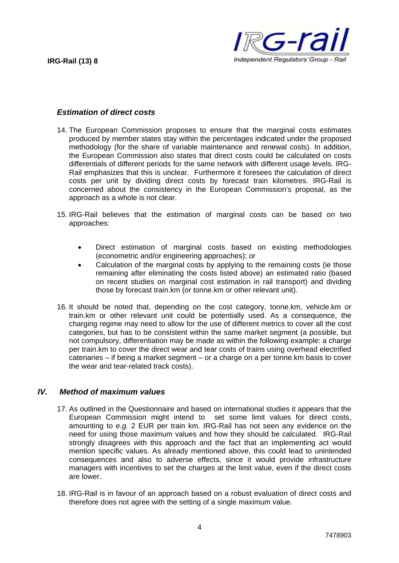

# *Estimation of direct costs*

- 14. The European Commission proposes to ensure that the marginal costs estimates produced by member states stay within the percentages indicated under the proposed methodology (for the share of variable maintenance and renewal costs). In addition, the European Commission also states that direct costs could be calculated on costs differentials of different periods for the same network with different usage levels. IRG-Rail emphasizes that this is unclear. Furthermore it foresees the calculation of direct costs per unit by dividing direct costs by forecast train kilometres. IRG-Rail is concerned about the consistency in the European Commission's proposal, as the approach as a whole is not clear.
- 15. IRG-Rail believes that the estimation of marginal costs can be based on two approaches:
	- Direct estimation of marginal costs based on existing methodologies (econometric and/or engineering approaches); or
	- Calculation of the marginal costs by applying to the remaining costs (ie those remaining after eliminating the costs listed above) an estimated ratio (based on recent studies on marginal cost estimation in rail transport) and dividing those by forecast train.km (or tonne.km or other relevant unit).
- 16. It should be noted that, depending on the cost category, tonne.km, vehicle.km or train.km or other relevant unit could be potentially used. As a consequence, the charging regime may need to allow for the use of different metrics to cover all the cost categories, but has to be consistent within the same market segment (a possible, but not compulsory, differentiation may be made as within the following example: a charge per train.km to cover the direct wear and tear costs of trains using overhead electrified catenaries – if being a market segment – or a charge on a per tonne.km basis to cover the wear and tear-related track costs).

# *IV. Method of maximum values*

- 17. As outlined in the Questionnaire and based on international studies it appears that the European Commission might intend to set some limit values for direct costs, amounting to *e.g.* 2 EUR per train km. IRG-Rail has not seen any evidence on the need for using those maximum values and how they should be calculated. IRG-Rail strongly disagrees with this approach and the fact that an implementing act would mention specific values. As already mentioned above, this could lead to unintended consequences and also to adverse effects, since it would provide infrastructure managers with incentives to set the charges at the limit value, even if the direct costs are lower.
- 18. IRG-Rail is in favour of an approach based on a robust evaluation of direct costs and therefore does not agree with the setting of a single maximum value.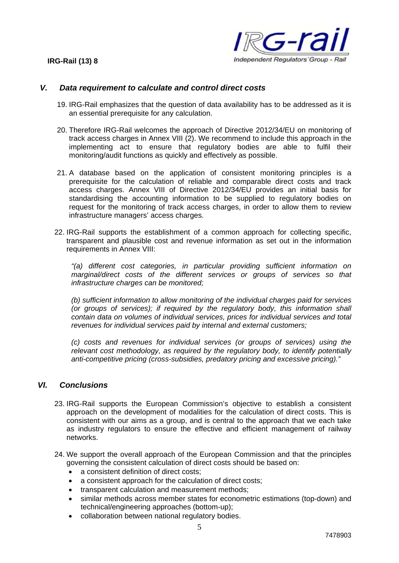

### *V. Data requirement to calculate and control direct costs*

- 19. IRG-Rail emphasizes that the question of data availability has to be addressed as it is an essential prerequisite for any calculation.
- 20. Therefore IRG-Rail welcomes the approach of Directive 2012/34/EU on monitoring of track access charges in Annex VIII (2). We recommend to include this approach in the implementing act to ensure that regulatory bodies are able to fulfil their monitoring/audit functions as quickly and effectively as possible.
- 21. A database based on the application of consistent monitoring principles is a prerequisite for the calculation of reliable and comparable direct costs and track access charges. Annex VIII of Directive 2012/34/EU provides an initial basis for standardising the accounting information to be supplied to regulatory bodies on request for the monitoring of track access charges, in order to allow them to review infrastructure managers' access charges.
- 22. IRG-Rail supports the establishment of a common approach for collecting specific, transparent and plausible cost and revenue information as set out in the information requirements in Annex VIII:

*"(a) different cost categories, in particular providing sufficient information on marginal/direct costs of the different services or groups of services so that infrastructure charges can be monitored;* 

*(b) sufficient information to allow monitoring of the individual charges paid for services (or groups of services); if required by the regulatory body, this information shall contain data on volumes of individual services, prices for individual services and total revenues for individual services paid by internal and external customers;* 

*(c) costs and revenues for individual services (or groups of services) using the relevant cost methodology, as required by the regulatory body, to identify potentially anti-competitive pricing (cross-subsidies, predatory pricing and excessive pricing)."* 

## *VI. Conclusions*

- 23. IRG-Rail supports the European Commission's objective to establish a consistent approach on the development of modalities for the calculation of direct costs. This is consistent with our aims as a group, and is central to the approach that we each take as industry regulators to ensure the effective and efficient management of railway networks.
- 24. We support the overall approach of the European Commission and that the principles governing the consistent calculation of direct costs should be based on:
	- a consistent definition of direct costs;
	- a consistent approach for the calculation of direct costs;
	- transparent calculation and measurement methods:
	- similar methods across member states for econometric estimations (top-down) and technical/engineering approaches (bottom-up);
	- collaboration between national regulatory bodies.